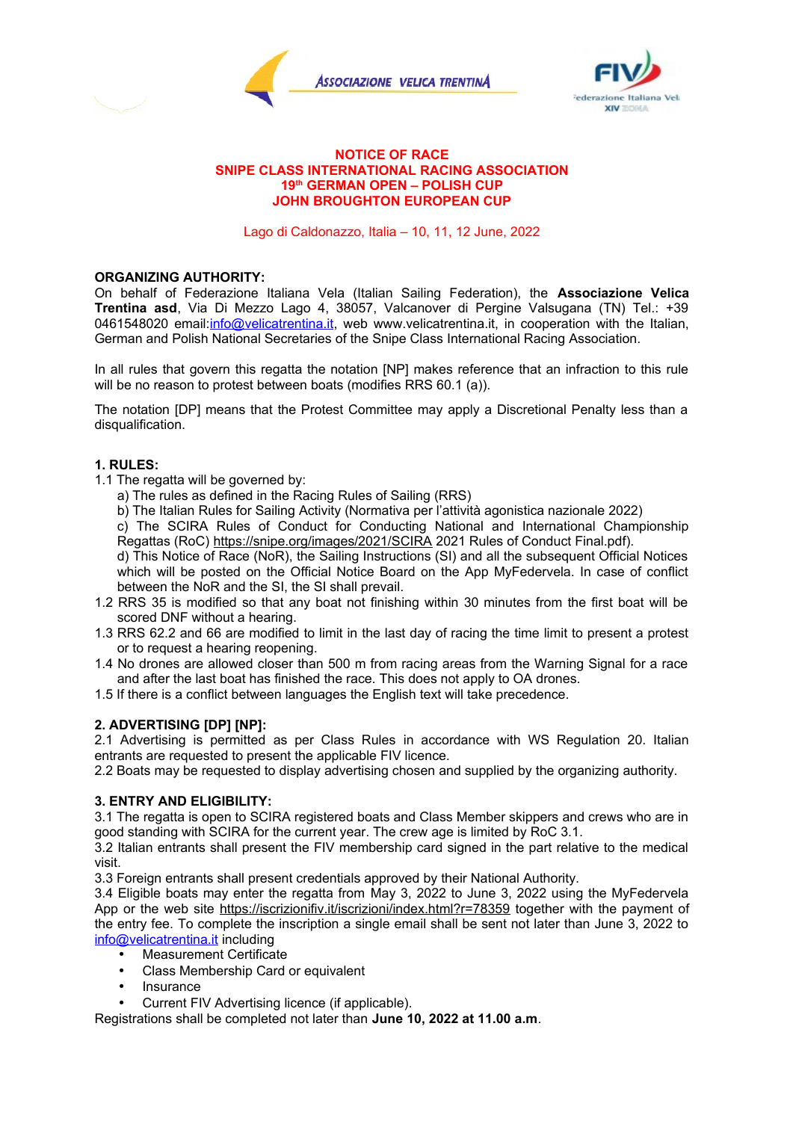



### **NOTICE OF RACE SNIPE CLASS INTERNATIONAL RACING ASSOCIATION 19th GERMAN OPEN – POLISH CUP JOHN BROUGHTON EUROPEAN CUP**

Lago di Caldonazzo, Italia – 10, 11, 12 June, 2022

#### **ORGANIZING AUTHORITY:**

On behalf of Federazione Italiana Vela (Italian Sailing Federation), the **Associazione Velica Trentina asd**, Via Di Mezzo Lago 4, 38057, Valcanover di Pergine Valsugana (TN) Tel.: +39 0461548020 email:[info@velicatrentina.it,](mailto:info@velicatrentina.it) web www.velicatrentina.it, in cooperation with the Italian, German and Polish National Secretaries of the Snipe Class International Racing Association.

In all rules that govern this regatta the notation [NP] makes reference that an infraction to this rule will be no reason to protest between boats (modifies RRS 60.1 (a)).

The notation [DP] means that the Protest Committee may apply a Discretional Penalty less than a disqualification.

### **1. RULES:**

- 1.1 The regatta will be governed by:
	- a) The rules as defined in the Racing Rules of Sailing (RRS)
	- b) The Italian Rules for Sailing Activity (Normativa per l'attività agonistica nazionale 2022)
	- c) The SCIRA Rules of Conduct for Conducting National and International Championship Regattas (RoC)<https://snipe.org/images/2021/SCIRA>2021 Rules of Conduct Final.pdf).

d) This Notice of Race (NoR), the Sailing Instructions (SI) and all the subsequent Official Notices which will be posted on the Official Notice Board on the App MyFedervela. In case of conflict between the NoR and the SI, the SI shall prevail.

- 1.2 RRS 35 is modified so that any boat not finishing within 30 minutes from the first boat will be scored DNF without a hearing.
- 1.3 RRS 62.2 and 66 are modified to limit in the last day of racing the time limit to present a protest or to request a hearing reopening.
- 1.4 No drones are allowed closer than 500 m from racing areas from the Warning Signal for a race and after the last boat has finished the race. This does not apply to OA drones.
- 1.5 If there is a conflict between languages the English text will take precedence.

## **2. ADVERTISING [DP] [NP]:**

2.1 Advertising is permitted as per Class Rules in accordance with WS Regulation 20. Italian entrants are requested to present the applicable FIV licence.

2.2 Boats may be requested to display advertising chosen and supplied by the organizing authority.

## **3. ENTRY AND ELIGIBILITY:**

3.1 The regatta is open to SCIRA registered boats and Class Member skippers and crews who are in good standing with SCIRA for the current year. The crew age is limited by RoC 3.1.

3.2 Italian entrants shall present the FIV membership card signed in the part relative to the medical visit.

3.3 Foreign entrants shall present credentials approved by their National Authority.

3.4 Eligible boats may enter the regatta from May 3, 2022 to June 3, 2022 using the MyFedervela App or the web site https://iscrizionifiv.it/iscrizioni/index.html?r=78359 together with the payment of the entry fee. To complete the inscription a single email shall be sent not later than June 3, 2022 to [info@velicatrentina.it](mailto:info@velicatrentina.it) including

- Measurement Certificate
- Class Membership Card or equivalent
- Insurance
- Current FIV Advertising licence (if applicable).

Registrations shall be completed not later than **June 10, 2022 at 11.00 a.m**.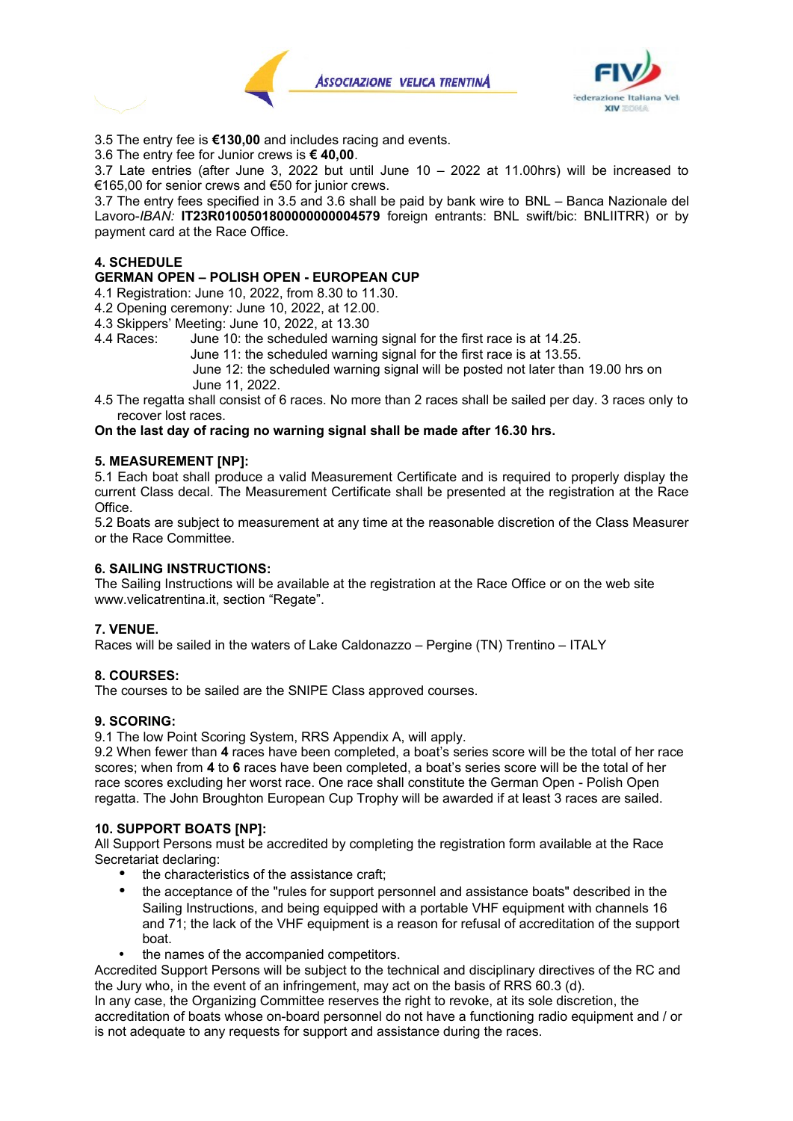



3.5 The entry fee is **€130,00** and includes racing and events.

3.6 The entry fee for Junior crews is **€ 40,00**.

3.7 Late entries (after June 3, 2022 but until June 10 – 2022 at 11.00hrs) will be increased to €165,00 for senior crews and €50 for junior crews.

3.7 The entry fees specified in 3.5 and 3.6 shall be paid by bank wire to BNL – Banca Nazionale del Lavoro-*IBAN:* **IT23R0100501800000000004579** foreign entrants: BNL swift/bic: BNLIITRR) or by payment card at the Race Office.

## **4. SCHEDULE**

**GERMAN OPEN – POLISH OPEN - EUROPEAN CUP**

4.1 Registration: June 10, 2022, from 8.30 to 11.30.

- 4.2 Opening ceremony: June 10, 2022, at 12.00.
- 4.3 Skippers' Meeting: June 10, 2022, at 13.30
- 4.4 Races: June 10: the scheduled warning signal for the first race is at 14.25.

June 11: the scheduled warning signal for the first race is at 13.55.

June 12: the scheduled warning signal will be posted not later than 19.00 hrs on June 11, 2022.

4.5 The regatta shall consist of 6 races. No more than 2 races shall be sailed per day. 3 races only to recover lost races.

### **On the last day of racing no warning signal shall be made after 16.30 hrs.**

### **5. MEASUREMENT [NP]:**

5.1 Each boat shall produce a valid Measurement Certificate and is required to properly display the current Class decal. The Measurement Certificate shall be presented at the registration at the Race Office.

5.2 Boats are subject to measurement at any time at the reasonable discretion of the Class Measurer or the Race Committee.

### **6. SAILING INSTRUCTIONS:**

The Sailing Instructions will be available at the registration at the Race Office or on the web site www.velicatrentina.it, section "Regate".

## **7. VENUE.**

Races will be sailed in the waters of Lake Caldonazzo – Pergine (TN) Trentino – ITALY

#### **8. COURSES:**

The courses to be sailed are the SNIPE Class approved courses.

#### **9. SCORING:**

9.1 The low Point Scoring System, RRS Appendix A, will apply.

9.2 When fewer than **4** races have been completed, a boat's series score will be the total of her race scores; when from **4** to **6** races have been completed, a boat's series score will be the total of her race scores excluding her worst race. One race shall constitute the German Open - Polish Open regatta. The John Broughton European Cup Trophy will be awarded if at least 3 races are sailed.

#### **10. SUPPORT BOATS [NP]:**

All Support Persons must be accredited by completing the registration form available at the Race Secretariat declaring:

- the characteristics of the assistance craft;
- the acceptance of the "rules for support personnel and assistance boats" described in the Sailing Instructions, and being equipped with a portable VHF equipment with channels 16 and 71; the lack of the VHF equipment is a reason for refusal of accreditation of the support boat.
- the names of the accompanied competitors.

Accredited Support Persons will be subject to the technical and disciplinary directives of the RC and the Jury who, in the event of an infringement, may act on the basis of RRS 60.3 (d).

In any case, the Organizing Committee reserves the right to revoke, at its sole discretion, the accreditation of boats whose on-board personnel do not have a functioning radio equipment and / or is not adequate to any requests for support and assistance during the races.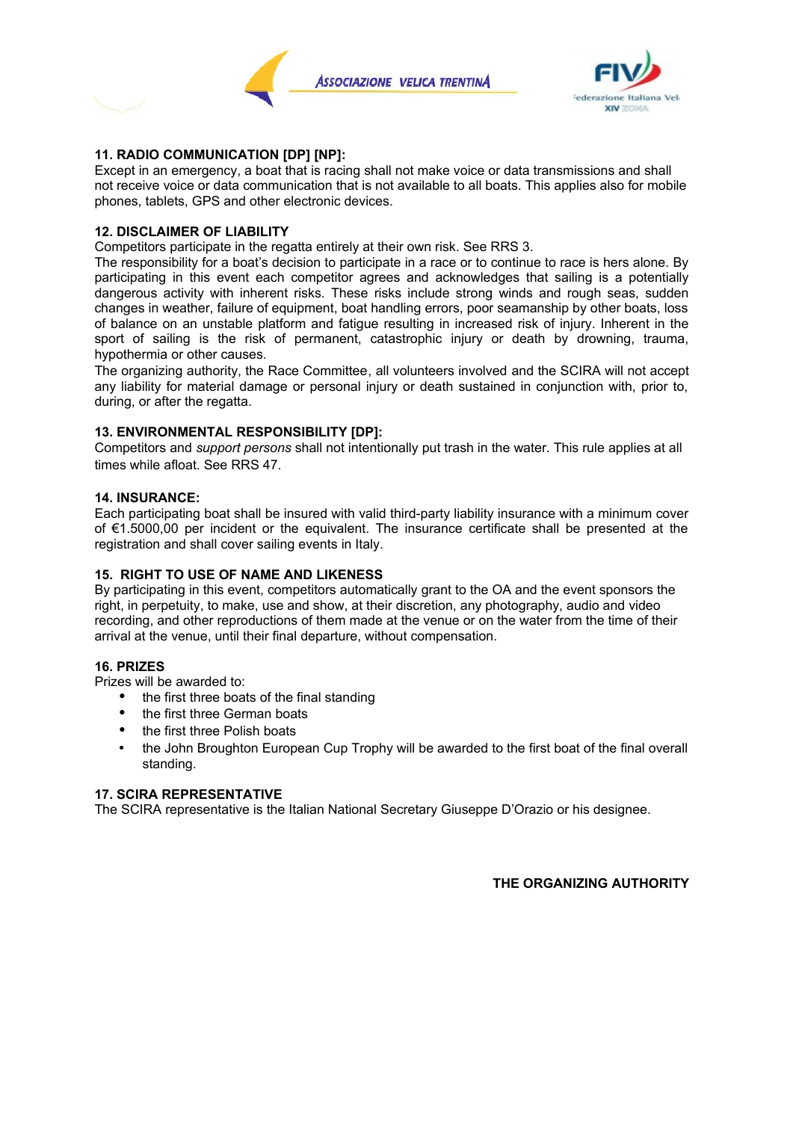



## **11. RADIO COMMUNICATION [DP] [NP]:**

Except in an emergency, a boat that is racing shall not make voice or data transmissions and shall not receive voice or data communication that is not available to all boats. This applies also for mobile phones, tablets, GPS and other electronic devices.

### **12. DISCLAIMER OF LIABILITY**

Competitors participate in the regatta entirely at their own risk. See RRS 3.

The responsibility for a boat's decision to participate in a race or to continue to race is hers alone. By participating in this event each competitor agrees and acknowledges that sailing is a potentially dangerous activity with inherent risks. These risks include strong winds and rough seas, sudden changes in weather, failure of equipment, boat handling errors, poor seamanship by other boats, loss of balance on an unstable platform and fatigue resulting in increased risk of injury. Inherent in the sport of sailing is the risk of permanent, catastrophic injury or death by drowning, trauma, hypothermia or other causes.

The organizing authority, the Race Committee, all volunteers involved and the SCIRA will not accept any liability for material damage or personal injury or death sustained in conjunction with, prior to, during, or after the regatta.

# **13. ENVIRONMENTAL RESPONSIBILITY [DP]:**

Competitors and *support persons* shall not intentionally put trash in the water. This rule applies at all times while afloat. See RRS 47.

### **14. INSURANCE:**

Each participating boat shall be insured with valid third-party liability insurance with a minimum cover of €1.5000,00 per incident or the equivalent. The insurance certificate shall be presented at the registration and shall cover sailing events in Italy.

## **15. RIGHT TO USE OF NAME AND LIKENESS**

By participating in this event, competitors automatically grant to the OA and the event sponsors the right, in perpetuity, to make, use and show, at their discretion, any photography, audio and video recording, and other reproductions of them made at the venue or on the water from the time of their arrival at the venue, until their final departure, without compensation.

## **16. PRIZES**

Prizes will be awarded to:

- the first three boats of the final standing
- the first three German boats
- the first three Polish boats
- the John Broughton European Cup Trophy will be awarded to the first boat of the final overall standing.

#### **17. SCIRA REPRESENTATIVE**

The SCIRA representative is the Italian National Secretary Giuseppe D'Orazio or his designee.

## **THE ORGANIZING AUTHORITY**